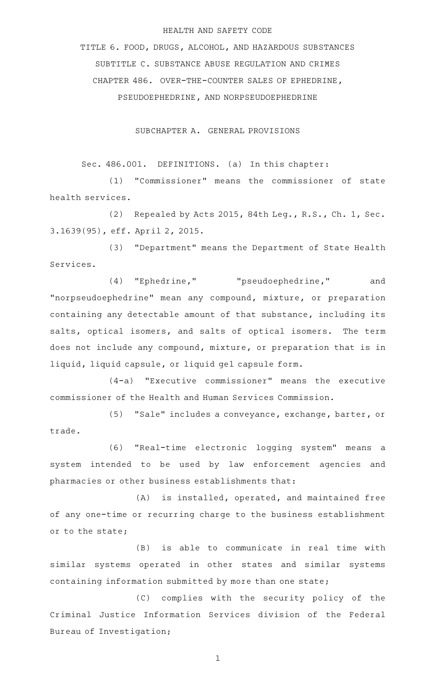### HEALTH AND SAFETY CODE

TITLE 6. FOOD, DRUGS, ALCOHOL, AND HAZARDOUS SUBSTANCES SUBTITLE C. SUBSTANCE ABUSE REGULATION AND CRIMES CHAPTER 486. OVER-THE-COUNTER SALES OF EPHEDRINE, PSEUDOEPHEDRINE, AND NORPSEUDOEPHEDRINE

SUBCHAPTER A. GENERAL PROVISIONS

Sec. 486.001. DEFINITIONS. (a) In this chapter:

(1) "Commissioner" means the commissioner of state health services.

(2) Repealed by Acts 2015, 84th Leg., R.S., Ch. 1, Sec. 3.1639(95), eff. April 2, 2015.

(3) "Department" means the Department of State Health Services.

(4) "Ephedrine," "pseudoephedrine," and "norpseudoephedrine" mean any compound, mixture, or preparation containing any detectable amount of that substance, including its salts, optical isomers, and salts of optical isomers. The term does not include any compound, mixture, or preparation that is in liquid, liquid capsule, or liquid gel capsule form.

(4-a) "Executive commissioner" means the executive commissioner of the Health and Human Services Commission.

(5) "Sale" includes a conveyance, exchange, barter, or trade.

(6) "Real-time electronic logging system" means a system intended to be used by law enforcement agencies and pharmacies or other business establishments that:

 $(A)$  is installed, operated, and maintained free of any one-time or recurring charge to the business establishment or to the state;

(B) is able to communicate in real time with similar systems operated in other states and similar systems containing information submitted by more than one state;

(C) complies with the security policy of the Criminal Justice Information Services division of the Federal Bureau of Investigation;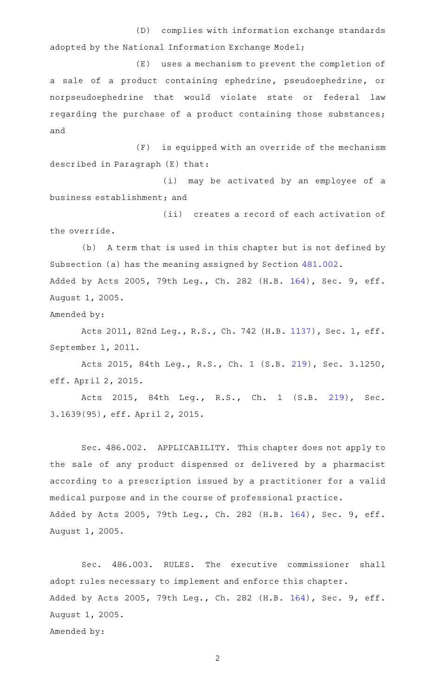(D) complies with information exchange standards adopted by the National Information Exchange Model;

(E) uses a mechanism to prevent the completion of a sale of a product containing ephedrine, pseudoephedrine, or norpseudoephedrine that would violate state or federal law regarding the purchase of a product containing those substances; and

(F) is equipped with an override of the mechanism described in Paragraph (E) that:

(i) may be activated by an employee of a business establishment; and

(ii) creates a record of each activation of the override.

(b) A term that is used in this chapter but is not defined by Subsection (a) has the meaning assigned by Section [481.002.](http://www.statutes.legis.state.tx.us/GetStatute.aspx?Code=HS&Value=481.002) Added by Acts 2005, 79th Leg., Ch. 282 (H.B. [164](http://www.legis.state.tx.us/tlodocs/79R/billtext/html/HB00164F.HTM)), Sec. 9, eff. August 1, 2005.

Amended by:

Acts 2011, 82nd Leg., R.S., Ch. 742 (H.B. [1137](http://www.legis.state.tx.us/tlodocs/82R/billtext/html/HB01137F.HTM)), Sec. 1, eff. September 1, 2011.

Acts 2015, 84th Leg., R.S., Ch. 1 (S.B. [219](http://www.legis.state.tx.us/tlodocs/84R/billtext/html/SB00219F.HTM)), Sec. 3.1250, eff. April 2, 2015.

Acts 2015, 84th Leg., R.S., Ch. 1 (S.B. [219](http://www.legis.state.tx.us/tlodocs/84R/billtext/html/SB00219F.HTM)), Sec. 3.1639(95), eff. April 2, 2015.

Sec. 486.002. APPLICABILITY. This chapter does not apply to the sale of any product dispensed or delivered by a pharmacist according to a prescription issued by a practitioner for a valid medical purpose and in the course of professional practice. Added by Acts 2005, 79th Leg., Ch. 282 (H.B. [164](http://www.legis.state.tx.us/tlodocs/79R/billtext/html/HB00164F.HTM)), Sec. 9, eff. August 1, 2005.

Sec. 486.003. RULES. The executive commissioner shall adopt rules necessary to implement and enforce this chapter. Added by Acts 2005, 79th Leg., Ch. 282 (H.B. [164](http://www.legis.state.tx.us/tlodocs/79R/billtext/html/HB00164F.HTM)), Sec. 9, eff. August 1, 2005. Amended by: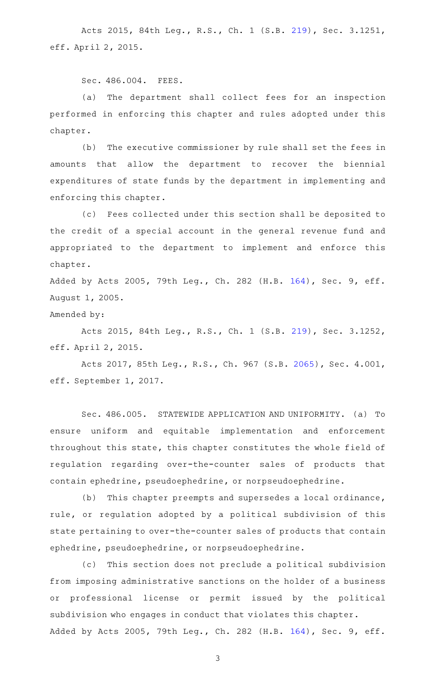Acts 2015, 84th Leg., R.S., Ch. 1 (S.B. [219](http://www.legis.state.tx.us/tlodocs/84R/billtext/html/SB00219F.HTM)), Sec. 3.1251, eff. April 2, 2015.

Sec. 486.004. FEES.

(a) The department shall collect fees for an inspection performed in enforcing this chapter and rules adopted under this chapter.

(b) The executive commissioner by rule shall set the fees in amounts that allow the department to recover the biennial expenditures of state funds by the department in implementing and enforcing this chapter.

(c) Fees collected under this section shall be deposited to the credit of a special account in the general revenue fund and appropriated to the department to implement and enforce this chapter.

Added by Acts 2005, 79th Leg., Ch. 282 (H.B. [164](http://www.legis.state.tx.us/tlodocs/79R/billtext/html/HB00164F.HTM)), Sec. 9, eff. August 1, 2005.

Amended by:

Acts 2015, 84th Leg., R.S., Ch. 1 (S.B. [219](http://www.legis.state.tx.us/tlodocs/84R/billtext/html/SB00219F.HTM)), Sec. 3.1252, eff. April 2, 2015.

Acts 2017, 85th Leg., R.S., Ch. 967 (S.B. [2065\)](http://www.legis.state.tx.us/tlodocs/85R/billtext/html/SB02065F.HTM), Sec. 4.001, eff. September 1, 2017.

Sec. 486.005. STATEWIDE APPLICATION AND UNIFORMITY. (a) To ensure uniform and equitable implementation and enforcement throughout this state, this chapter constitutes the whole field of regulation regarding over-the-counter sales of products that contain ephedrine, pseudoephedrine, or norpseudoephedrine.

(b) This chapter preempts and supersedes a local ordinance, rule, or regulation adopted by a political subdivision of this state pertaining to over-the-counter sales of products that contain ephedrine, pseudoephedrine, or norpseudoephedrine.

(c) This section does not preclude a political subdivision from imposing administrative sanctions on the holder of a business or professional license or permit issued by the political subdivision who engages in conduct that violates this chapter. Added by Acts 2005, 79th Leg., Ch. 282 (H.B. [164](http://www.legis.state.tx.us/tlodocs/79R/billtext/html/HB00164F.HTM)), Sec. 9, eff.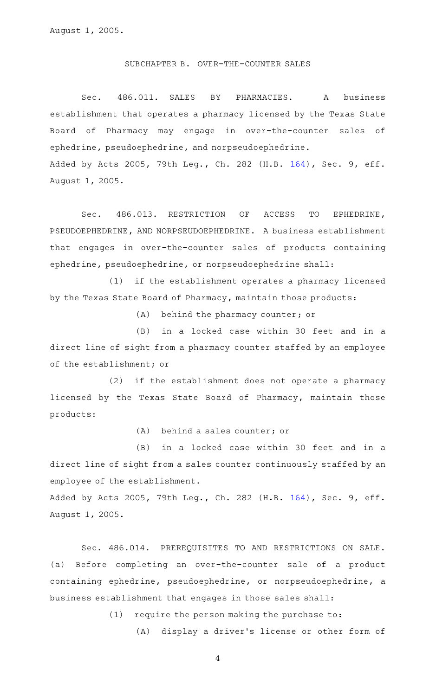### SUBCHAPTER B. OVER-THE-COUNTER SALES

Sec. 486.011. SALES BY PHARMACIES. A business establishment that operates a pharmacy licensed by the Texas State Board of Pharmacy may engage in over-the-counter sales of ephedrine, pseudoephedrine, and norpseudoephedrine. Added by Acts 2005, 79th Leg., Ch. 282 (H.B. [164](http://www.legis.state.tx.us/tlodocs/79R/billtext/html/HB00164F.HTM)), Sec. 9, eff. August 1, 2005.

Sec. 486.013. RESTRICTION OF ACCESS TO EPHEDRINE, PSEUDOEPHEDRINE, AND NORPSEUDOEPHEDRINE. A business establishment that engages in over-the-counter sales of products containing ephedrine, pseudoephedrine, or norpseudoephedrine shall:

(1) if the establishment operates a pharmacy licensed by the Texas State Board of Pharmacy, maintain those products:

(A) behind the pharmacy counter; or

(B) in a locked case within 30 feet and in a direct line of sight from a pharmacy counter staffed by an employee of the establishment; or

 $(2)$  if the establishment does not operate a pharmacy licensed by the Texas State Board of Pharmacy, maintain those products:

 $(A)$  behind a sales counter; or

(B) in a locked case within 30 feet and in a direct line of sight from a sales counter continuously staffed by an employee of the establishment.

Added by Acts 2005, 79th Leg., Ch. 282 (H.B. [164](http://www.legis.state.tx.us/tlodocs/79R/billtext/html/HB00164F.HTM)), Sec. 9, eff. August 1, 2005.

Sec. 486.014. PREREQUISITES TO AND RESTRICTIONS ON SALE. (a) Before completing an over-the-counter sale of a product containing ephedrine, pseudoephedrine, or norpseudoephedrine, a business establishment that engages in those sales shall:

 $(1)$  require the person making the purchase to:

(A) display a driver's license or other form of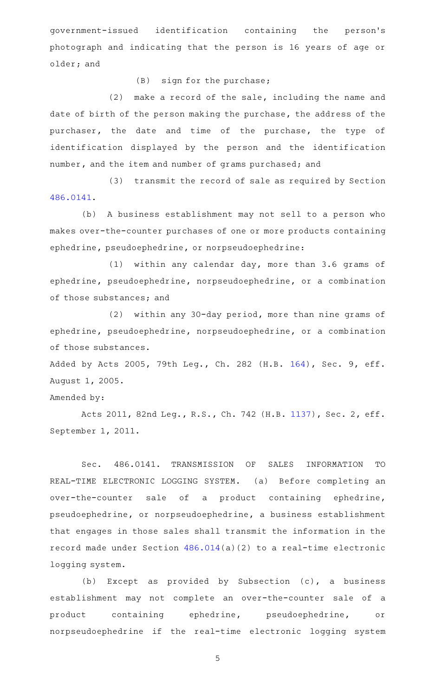government-issued identification containing the person 's photograph and indicating that the person is 16 years of age or older; and

 $(B)$  sign for the purchase;

 $(2)$  make a record of the sale, including the name and date of birth of the person making the purchase, the address of the purchaser, the date and time of the purchase, the type of identification displayed by the person and the identification number, and the item and number of grams purchased; and

(3) transmit the record of sale as required by Section [486.0141](http://www.statutes.legis.state.tx.us/GetStatute.aspx?Code=HS&Value=486.0141).

(b) A business establishment may not sell to a person who makes over-the-counter purchases of one or more products containing ephedrine, pseudoephedrine, or norpseudoephedrine:

 $(1)$  within any calendar day, more than 3.6 grams of ephedrine, pseudoephedrine, norpseudoephedrine, or a combination of those substances; and

(2) within any 30-day period, more than nine grams of ephedrine, pseudoephedrine, norpseudoephedrine, or a combination of those substances.

Added by Acts 2005, 79th Leg., Ch. 282 (H.B. [164](http://www.legis.state.tx.us/tlodocs/79R/billtext/html/HB00164F.HTM)), Sec. 9, eff. August 1, 2005.

## Amended by:

Acts 2011, 82nd Leg., R.S., Ch. 742 (H.B. [1137](http://www.legis.state.tx.us/tlodocs/82R/billtext/html/HB01137F.HTM)), Sec. 2, eff. September 1, 2011.

Sec. 486.0141. TRANSMISSION OF SALES INFORMATION TO REAL-TIME ELECTRONIC LOGGING SYSTEM. (a) Before completing an over-the-counter sale of a product containing ephedrine, pseudoephedrine, or norpseudoephedrine, a business establishment that engages in those sales shall transmit the information in the record made under Section [486.014\(](http://www.statutes.legis.state.tx.us/GetStatute.aspx?Code=HS&Value=486.014)a)(2) to a real-time electronic logging system.

(b) Except as provided by Subsection  $(c)$ , a business establishment may not complete an over-the-counter sale of a product containing ephedrine, pseudoephedrine, or norpseudoephedrine if the real-time electronic logging system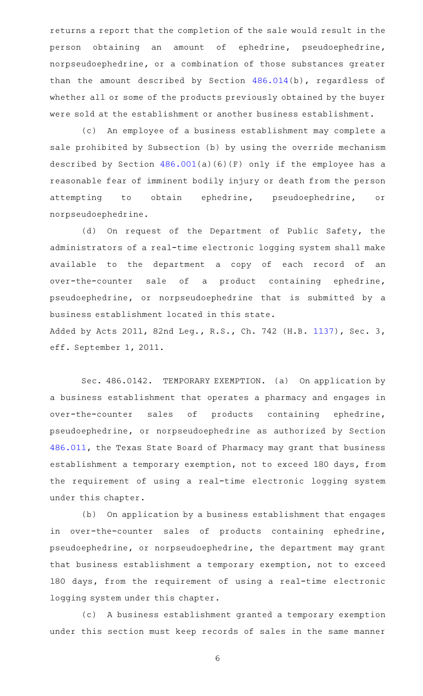returns a report that the completion of the sale would result in the person obtaining an amount of ephedrine, pseudoephedrine, norpseudoephedrine, or a combination of those substances greater than the amount described by Section [486.014\(](http://www.statutes.legis.state.tx.us/GetStatute.aspx?Code=HS&Value=486.014)b), regardless of whether all or some of the products previously obtained by the buyer were sold at the establishment or another business establishment.

(c) An employee of a business establishment may complete a sale prohibited by Subsection (b) by using the override mechanism described by Section [486.001](http://www.statutes.legis.state.tx.us/GetStatute.aspx?Code=HS&Value=486.001)(a)(6)(F) only if the employee has a reasonable fear of imminent bodily injury or death from the person attempting to obtain ephedrine, pseudoephedrine, or norpseudoephedrine.

(d) On request of the Department of Public Safety, the administrators of a real-time electronic logging system shall make available to the department a copy of each record of an over-the-counter sale of a product containing ephedrine, pseudoephedrine, or norpseudoephedrine that is submitted by a business establishment located in this state. Added by Acts 2011, 82nd Leg., R.S., Ch. 742 (H.B. [1137](http://www.legis.state.tx.us/tlodocs/82R/billtext/html/HB01137F.HTM)), Sec. 3, eff. September 1, 2011.

Sec. 486.0142. TEMPORARY EXEMPTION. (a) On application by a business establishment that operates a pharmacy and engages in over-the-counter sales of products containing ephedrine, pseudoephedrine, or norpseudoephedrine as authorized by Section [486.011,](http://www.statutes.legis.state.tx.us/GetStatute.aspx?Code=HS&Value=486.011) the Texas State Board of Pharmacy may grant that business establishment a temporary exemption, not to exceed 180 days, from the requirement of using a real-time electronic logging system under this chapter.

(b) On application by a business establishment that engages in over-the-counter sales of products containing ephedrine, pseudoephedrine, or norpseudoephedrine, the department may grant that business establishment a temporary exemption, not to exceed 180 days, from the requirement of using a real-time electronic logging system under this chapter.

(c) A business establishment granted a temporary exemption under this section must keep records of sales in the same manner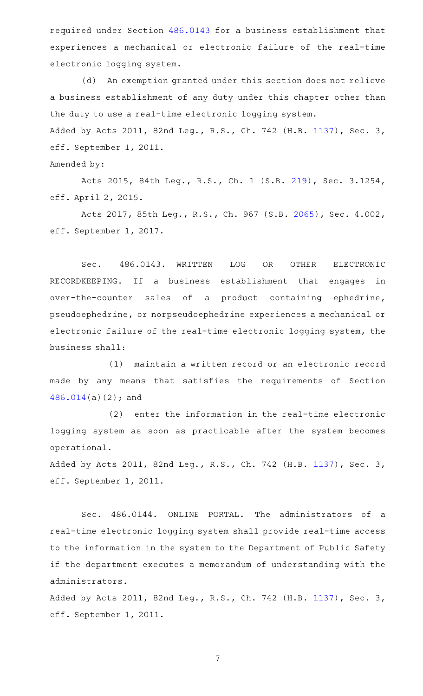required under Section [486.0143](http://www.statutes.legis.state.tx.us/GetStatute.aspx?Code=HS&Value=486.0143) for a business establishment that experiences a mechanical or electronic failure of the real-time electronic logging system.

(d) An exemption granted under this section does not relieve a business establishment of any duty under this chapter other than the duty to use a real-time electronic logging system. Added by Acts 2011, 82nd Leg., R.S., Ch. 742 (H.B. [1137](http://www.legis.state.tx.us/tlodocs/82R/billtext/html/HB01137F.HTM)), Sec. 3,

eff. September 1, 2011.

Amended by:

Acts 2015, 84th Leg., R.S., Ch. 1 (S.B. [219](http://www.legis.state.tx.us/tlodocs/84R/billtext/html/SB00219F.HTM)), Sec. 3.1254, eff. April 2, 2015.

Acts 2017, 85th Leg., R.S., Ch. 967 (S.B. [2065\)](http://www.legis.state.tx.us/tlodocs/85R/billtext/html/SB02065F.HTM), Sec. 4.002, eff. September 1, 2017.

Sec. 486.0143. WRITTEN LOG OR OTHER ELECTRONIC RECORDKEEPING. If a business establishment that engages in over-the-counter sales of a product containing ephedrine, pseudoephedrine, or norpseudoephedrine experiences a mechanical or electronic failure of the real-time electronic logging system, the business shall:

(1) maintain a written record or an electronic record made by any means that satisfies the requirements of Section [486.014\(](http://www.statutes.legis.state.tx.us/GetStatute.aspx?Code=HS&Value=486.014)a)(2); and

 $(2)$  enter the information in the real-time electronic logging system as soon as practicable after the system becomes operational.

Added by Acts 2011, 82nd Leg., R.S., Ch. 742 (H.B. [1137](http://www.legis.state.tx.us/tlodocs/82R/billtext/html/HB01137F.HTM)), Sec. 3, eff. September 1, 2011.

Sec. 486.0144. ONLINE PORTAL. The administrators of a real-time electronic logging system shall provide real-time access to the information in the system to the Department of Public Safety if the department executes a memorandum of understanding with the administrators.

Added by Acts 2011, 82nd Leg., R.S., Ch. 742 (H.B. [1137](http://www.legis.state.tx.us/tlodocs/82R/billtext/html/HB01137F.HTM)), Sec. 3, eff. September 1, 2011.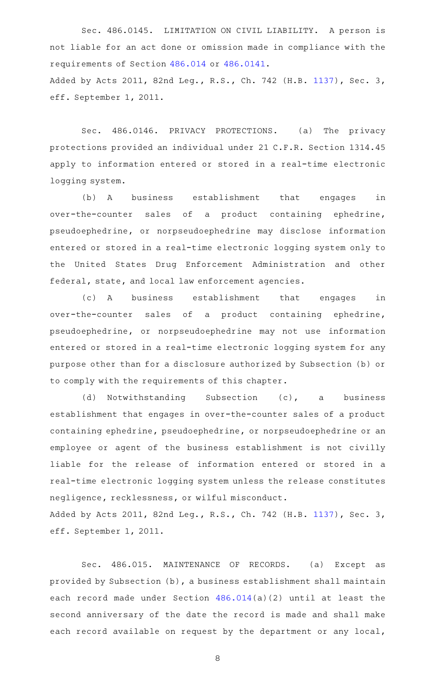Sec. 486.0145. LIMITATION ON CIVIL LIABILITY. A person is not liable for an act done or omission made in compliance with the requirements of Section [486.014](http://www.statutes.legis.state.tx.us/GetStatute.aspx?Code=HS&Value=486.014) or [486.0141.](http://www.statutes.legis.state.tx.us/GetStatute.aspx?Code=HS&Value=486.0141) Added by Acts 2011, 82nd Leg., R.S., Ch. 742 (H.B. [1137](http://www.legis.state.tx.us/tlodocs/82R/billtext/html/HB01137F.HTM)), Sec. 3, eff. September 1, 2011.

Sec. 486.0146. PRIVACY PROTECTIONS. (a) The privacy protections provided an individual under 21 C.F.R. Section 1314.45 apply to information entered or stored in a real-time electronic logging system.

(b) A business establishment that engages in over-the-counter sales of a product containing ephedrine, pseudoephedrine, or norpseudoephedrine may disclose information entered or stored in a real-time electronic logging system only to the United States Drug Enforcement Administration and other federal, state, and local law enforcement agencies.

(c)AAA business establishment that engages in over-the-counter sales of a product containing ephedrine, pseudoephedrine, or norpseudoephedrine may not use information entered or stored in a real-time electronic logging system for any purpose other than for a disclosure authorized by Subsection (b) or to comply with the requirements of this chapter.

(d) Notwithstanding Subsection (c), a business establishment that engages in over-the-counter sales of a product containing ephedrine, pseudoephedrine, or norpseudoephedrine or an employee or agent of the business establishment is not civilly liable for the release of information entered or stored in a real-time electronic logging system unless the release constitutes negligence, recklessness, or wilful misconduct.

Added by Acts 2011, 82nd Leg., R.S., Ch. 742 (H.B. [1137](http://www.legis.state.tx.us/tlodocs/82R/billtext/html/HB01137F.HTM)), Sec. 3, eff. September 1, 2011.

Sec. 486.015. MAINTENANCE OF RECORDS. (a) Except as provided by Subsection (b), a business establishment shall maintain each record made under Section [486.014\(](http://www.statutes.legis.state.tx.us/GetStatute.aspx?Code=HS&Value=486.014)a)(2) until at least the second anniversary of the date the record is made and shall make each record available on request by the department or any local,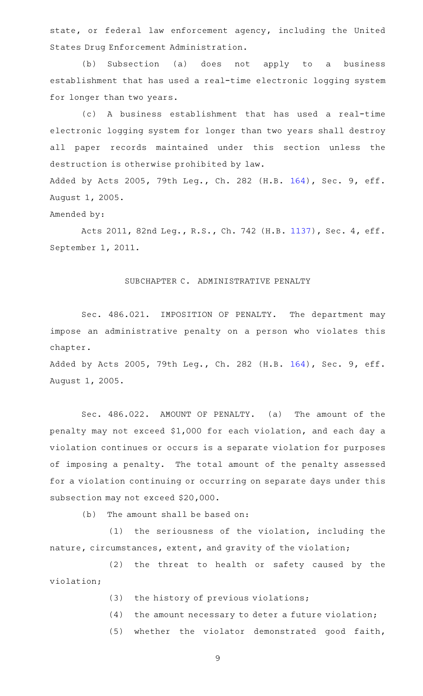state, or federal law enforcement agency, including the United States Drug Enforcement Administration.

(b) Subsection (a) does not apply to a business establishment that has used a real-time electronic logging system for longer than two years.

(c)AAA business establishment that has used a real-time electronic logging system for longer than two years shall destroy all paper records maintained under this section unless the destruction is otherwise prohibited by law.

Added by Acts 2005, 79th Leg., Ch. 282 (H.B. [164](http://www.legis.state.tx.us/tlodocs/79R/billtext/html/HB00164F.HTM)), Sec. 9, eff. August 1, 2005.

# Amended by:

Acts 2011, 82nd Leg., R.S., Ch. 742 (H.B. [1137](http://www.legis.state.tx.us/tlodocs/82R/billtext/html/HB01137F.HTM)), Sec. 4, eff. September 1, 2011.

### SUBCHAPTER C. ADMINISTRATIVE PENALTY

Sec. 486.021. IMPOSITION OF PENALTY. The department may impose an administrative penalty on a person who violates this chapter.

Added by Acts 2005, 79th Leg., Ch. 282 (H.B. [164](http://www.legis.state.tx.us/tlodocs/79R/billtext/html/HB00164F.HTM)), Sec. 9, eff. August 1, 2005.

Sec. 486.022. AMOUNT OF PENALTY. (a) The amount of the penalty may not exceed \$1,000 for each violation, and each day a violation continues or occurs is a separate violation for purposes of imposing a penalty. The total amount of the penalty assessed for a violation continuing or occurring on separate days under this subsection may not exceed \$20,000.

 $(b)$  The amount shall be based on:

 $(1)$  the seriousness of the violation, including the nature, circumstances, extent, and gravity of the violation;

(2) the threat to health or safety caused by the violation;

- $(3)$  the history of previous violations;
- $(4)$  the amount necessary to deter a future violation;
- (5) whether the violator demonstrated good faith,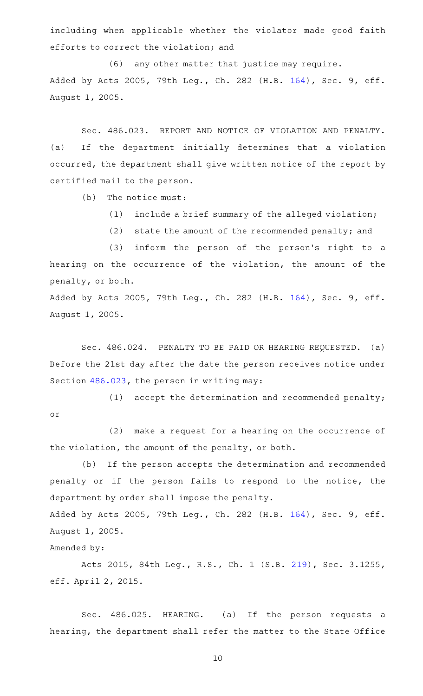including when applicable whether the violator made good faith efforts to correct the violation; and

(6) any other matter that justice may require. Added by Acts 2005, 79th Leg., Ch. 282 (H.B. [164](http://www.legis.state.tx.us/tlodocs/79R/billtext/html/HB00164F.HTM)), Sec. 9, eff. August 1, 2005.

Sec. 486.023. REPORT AND NOTICE OF VIOLATION AND PENALTY. (a) If the department initially determines that a violation occurred, the department shall give written notice of the report by certified mail to the person.

 $(b)$  The notice must:

(1) include a brief summary of the alleged violation;

(2) state the amount of the recommended penalty; and

(3) inform the person of the person's right to a hearing on the occurrence of the violation, the amount of the penalty, or both.

Added by Acts 2005, 79th Leg., Ch. 282 (H.B. [164](http://www.legis.state.tx.us/tlodocs/79R/billtext/html/HB00164F.HTM)), Sec. 9, eff. August 1, 2005.

Sec. 486.024. PENALTY TO BE PAID OR HEARING REQUESTED. (a) Before the 21st day after the date the person receives notice under Section [486.023,](http://www.statutes.legis.state.tx.us/GetStatute.aspx?Code=HS&Value=486.023) the person in writing may:

 $(1)$  accept the determination and recommended penalty; or

(2) make a request for a hearing on the occurrence of the violation, the amount of the penalty, or both.

(b) If the person accepts the determination and recommended penalty or if the person fails to respond to the notice, the department by order shall impose the penalty.

Added by Acts 2005, 79th Leg., Ch. 282 (H.B. [164](http://www.legis.state.tx.us/tlodocs/79R/billtext/html/HB00164F.HTM)), Sec. 9, eff. August 1, 2005.

Amended by:

Acts 2015, 84th Leg., R.S., Ch. 1 (S.B. [219](http://www.legis.state.tx.us/tlodocs/84R/billtext/html/SB00219F.HTM)), Sec. 3.1255, eff. April 2, 2015.

Sec. 486.025. HEARING. (a) If the person requests a hearing, the department shall refer the matter to the State Office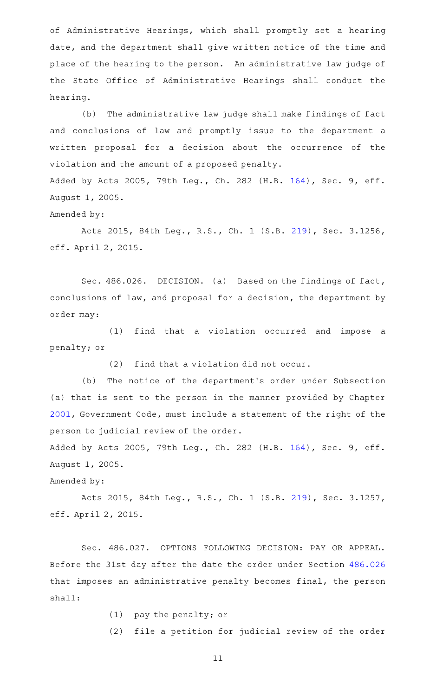of Administrative Hearings, which shall promptly set a hearing date, and the department shall give written notice of the time and place of the hearing to the person. An administrative law judge of the State Office of Administrative Hearings shall conduct the hearing.

(b) The administrative law judge shall make findings of fact and conclusions of law and promptly issue to the department a written proposal for a decision about the occurrence of the violation and the amount of a proposed penalty. Added by Acts 2005, 79th Leg., Ch. 282 (H.B. [164](http://www.legis.state.tx.us/tlodocs/79R/billtext/html/HB00164F.HTM)), Sec. 9, eff.

August 1, 2005.

Amended by:

Acts 2015, 84th Leg., R.S., Ch. 1 (S.B. [219](http://www.legis.state.tx.us/tlodocs/84R/billtext/html/SB00219F.HTM)), Sec. 3.1256, eff. April 2, 2015.

Sec. 486.026. DECISION. (a) Based on the findings of fact, conclusions of law, and proposal for a decision, the department by order may:

(1) find that a violation occurred and impose a penalty; or

 $(2)$  find that a violation did not occur.

(b) The notice of the department's order under Subsection (a) that is sent to the person in the manner provided by Chapter [2001](http://www.statutes.legis.state.tx.us/GetStatute.aspx?Code=GV&Value=2001), Government Code, must include a statement of the right of the person to judicial review of the order.

Added by Acts 2005, 79th Leg., Ch. 282 (H.B. [164](http://www.legis.state.tx.us/tlodocs/79R/billtext/html/HB00164F.HTM)), Sec. 9, eff. August 1, 2005.

Amended by:

Acts 2015, 84th Leg., R.S., Ch. 1 (S.B. [219](http://www.legis.state.tx.us/tlodocs/84R/billtext/html/SB00219F.HTM)), Sec. 3.1257, eff. April 2, 2015.

Sec. 486.027. OPTIONS FOLLOWING DECISION: PAY OR APPEAL. Before the 31st day after the date the order under Section [486.026](http://www.statutes.legis.state.tx.us/GetStatute.aspx?Code=HS&Value=486.026) that imposes an administrative penalty becomes final, the person shall:

 $(1)$  pay the penalty; or

(2) file a petition for judicial review of the order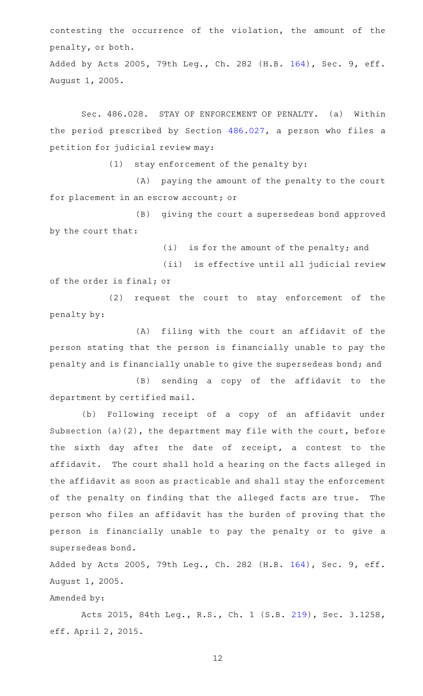contesting the occurrence of the violation, the amount of the penalty, or both.

Added by Acts 2005, 79th Leg., Ch. 282 (H.B. [164](http://www.legis.state.tx.us/tlodocs/79R/billtext/html/HB00164F.HTM)), Sec. 9, eff. August 1, 2005.

Sec. 486.028. STAY OF ENFORCEMENT OF PENALTY. (a) Within the period prescribed by Section [486.027,](http://www.statutes.legis.state.tx.us/GetStatute.aspx?Code=HS&Value=486.027) a person who files a petition for judicial review may:

 $(1)$  stay enforcement of the penalty by:

(A) paying the amount of the penalty to the court for placement in an escrow account; or

(B) giving the court a supersedeas bond approved by the court that:

 $(i)$  is for the amount of the penalty; and

(ii) is effective until all judicial review of the order is final; or

(2) request the court to stay enforcement of the penalty by:

(A) filing with the court an affidavit of the person stating that the person is financially unable to pay the penalty and is financially unable to give the supersedeas bond; and

(B) sending a copy of the affidavit to the department by certified mail.

(b) Following receipt of a copy of an affidavit under Subsection (a)(2), the department may file with the court, before the sixth day after the date of receipt, a contest to the affidavit. The court shall hold a hearing on the facts alleged in the affidavit as soon as practicable and shall stay the enforcement of the penalty on finding that the alleged facts are true. The person who files an affidavit has the burden of proving that the person is financially unable to pay the penalty or to give a supersedeas bond.

Added by Acts 2005, 79th Leg., Ch. 282 (H.B. [164](http://www.legis.state.tx.us/tlodocs/79R/billtext/html/HB00164F.HTM)), Sec. 9, eff. August 1, 2005.

Amended by:

Acts 2015, 84th Leg., R.S., Ch. 1 (S.B. [219](http://www.legis.state.tx.us/tlodocs/84R/billtext/html/SB00219F.HTM)), Sec. 3.1258, eff. April 2, 2015.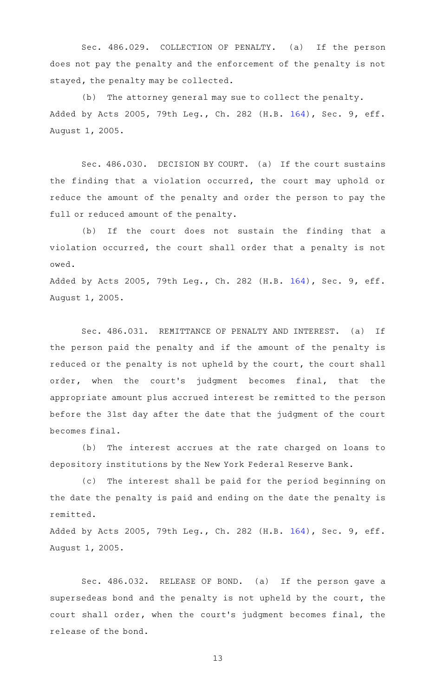Sec. 486.029. COLLECTION OF PENALTY. (a) If the person does not pay the penalty and the enforcement of the penalty is not stayed, the penalty may be collected.

(b) The attorney general may sue to collect the penalty. Added by Acts 2005, 79th Leg., Ch. 282 (H.B. [164](http://www.legis.state.tx.us/tlodocs/79R/billtext/html/HB00164F.HTM)), Sec. 9, eff. August 1, 2005.

Sec. 486.030. DECISION BY COURT. (a) If the court sustains the finding that a violation occurred, the court may uphold or reduce the amount of the penalty and order the person to pay the full or reduced amount of the penalty.

(b) If the court does not sustain the finding that a violation occurred, the court shall order that a penalty is not owed.

Added by Acts 2005, 79th Leg., Ch. 282 (H.B. [164](http://www.legis.state.tx.us/tlodocs/79R/billtext/html/HB00164F.HTM)), Sec. 9, eff. August 1, 2005.

Sec. 486.031. REMITTANCE OF PENALTY AND INTEREST. (a) If the person paid the penalty and if the amount of the penalty is reduced or the penalty is not upheld by the court, the court shall order, when the court's judgment becomes final, that the appropriate amount plus accrued interest be remitted to the person before the 31st day after the date that the judgment of the court becomes final.

(b) The interest accrues at the rate charged on loans to depository institutions by the New York Federal Reserve Bank.

(c) The interest shall be paid for the period beginning on the date the penalty is paid and ending on the date the penalty is remitted.

Added by Acts 2005, 79th Leg., Ch. 282 (H.B. [164](http://www.legis.state.tx.us/tlodocs/79R/billtext/html/HB00164F.HTM)), Sec. 9, eff. August 1, 2005.

Sec. 486.032. RELEASE OF BOND. (a) If the person gave a supersedeas bond and the penalty is not upheld by the court, the court shall order, when the court 's judgment becomes final, the release of the bond.